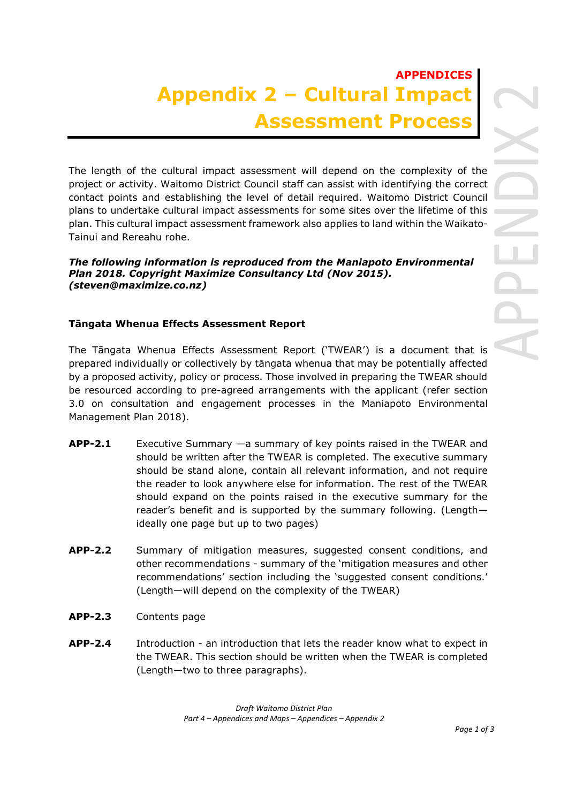## **APPENDICES Appendix 2 – Cultural Impact Assessment Process**

The length of the cultural impact assessment will depend on the complexity of the project or activity. Waitomo District Council staff can assist with identifying the correct contact points and establishing the level of detail required. Waitomo District Council plans to undertake cultural impact assessments for some sites over the lifetime of this plan. This cultural impact assessment framework also applies to land within the Waikato-Tainui and Rereahu rohe.

## *The following information is reproduced from the Maniapoto Environmental Plan 2018. Copyright Maximize Consultancy Ltd (Nov 2015). (steven@maximize.co.nz)*

## **Tāngata Whenua Effects Assessment Report**

The Tāngata Whenua Effects Assessment Report ('TWEAR') is a document that is prepared individually or collectively by tāngata whenua that may be potentially affected by a proposed activity, policy or process. Those involved in preparing the TWEAR should be resourced according to pre-agreed arrangements with the applicant (refer section 3.0 on consultation and engagement processes in the Maniapoto Environmental Management Plan 2018).

- **APP-2.1** Executive Summary —a summary of key points raised in the TWEAR and should be written after the TWEAR is completed. The executive summary should be stand alone, contain all relevant information, and not require the reader to look anywhere else for information. The rest of the TWEAR should expand on the points raised in the executive summary for the reader's benefit and is supported by the summary following. (Length ideally one page but up to two pages)
- **APP-2.2** Summary of mitigation measures, suggested consent conditions, and other recommendations - summary of the 'mitigation measures and other recommendations' section including the 'suggested consent conditions.' (Length—will depend on the complexity of the TWEAR)
- **APP-2.3** Contents page
- **APP-2.4** Introduction an introduction that lets the reader know what to expect in the TWEAR. This section should be written when the TWEAR is completed (Length—two to three paragraphs).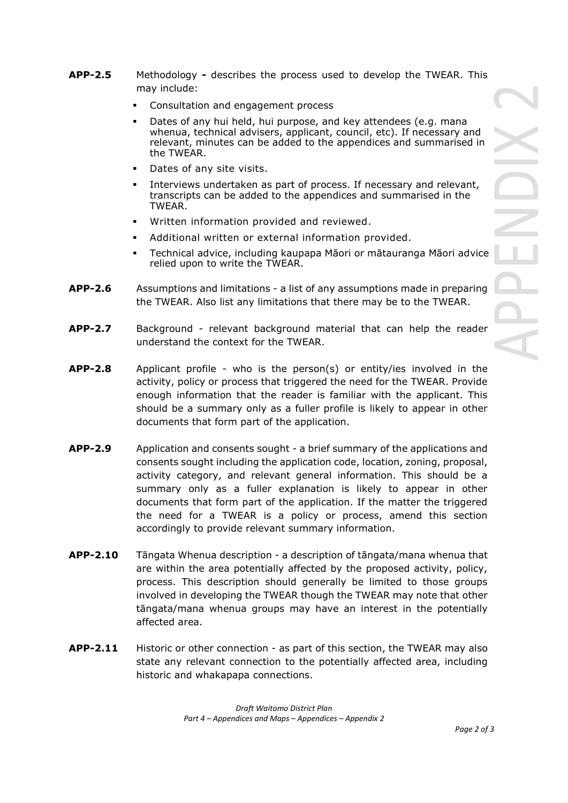- **APP-2.5** Methodology **-** describes the process used to develop the TWEAR. This may include:
	- Consultation and engagement process
	- Dates of any hui held, hui purpose, and key attendees (e.g. mana whenua, technical advisers, applicant, council, etc). If necessary and relevant, minutes can be added to the appendices and summarised in the TWEAR.
	- Dates of any site visits.
	- Interviews undertaken as part of process. If necessary and relevant, transcripts can be added to the appendices and summarised in the TWEAR.
	- Written information provided and reviewed.
	- Additional written or external information provided.
	- Technical advice, including kaupapa Māori or mātauranga Māori advice relied upon to write the TWEAR.
- **APP-2.6** Assumptions and limitations a list of any assumptions made in preparing the TWEAR. Also list any limitations that there may be to the TWEAR.
- **APP-2.7** Background relevant background material that can help the reader understand the context for the TWEAR.
- **APP-2.8** Applicant profile who is the person(s) or entity/ies involved in the activity, policy or process that triggered the need for the TWEAR. Provide enough information that the reader is familiar with the applicant. This should be a summary only as a fuller profile is likely to appear in other documents that form part of the application.
- **APP-2.9** Application and consents sought a brief summary of the applications and consents sought including the application code, location, zoning, proposal, activity category, and relevant general information. This should be a summary only as a fuller explanation is likely to appear in other documents that form part of the application. If the matter the triggered the need for a TWEAR is a policy or process, amend this section accordingly to provide relevant summary information.
- **APP-2.10** Tāngata Whenua description a description of tāngata/mana whenua that are within the area potentially affected by the proposed activity, policy, process. This description should generally be limited to those groups involved in developing the TWEAR though the TWEAR may note that other tāngata/mana whenua groups may have an interest in the potentially affected area.
- **APP-2.11** Historic or other connection as part of this section, the TWEAR may also state any relevant connection to the potentially affected area, including historic and whakapapa connections.